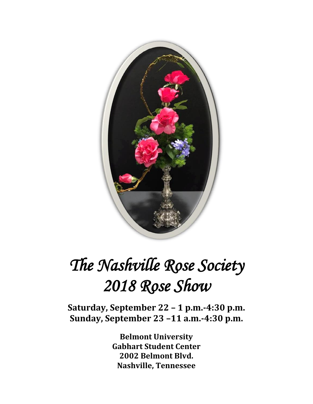

# *The Nashville Rose Society 2018 Rose Show*

**Saturday, September 22 – 1 p.m.-4:30 p.m. Sunday, September 23 –11 a.m.-4:30 p.m.**

> **Belmont University Gabhart Student Center 2002 Belmont Blvd. Nashville, Tennessee**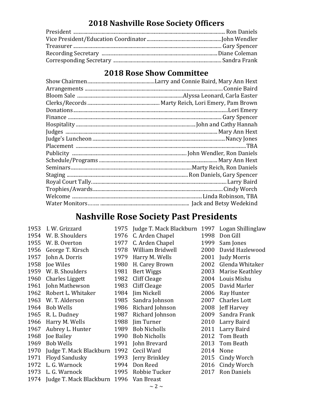# **Nashville Rose Society Officers**

# **Rose Show Committee**

# **Nashville Rose Society Past Presidents**

| I. W. Grizzard         | 1975 | Judge T. Mack Blackburn 1997                                      |      | Logan Shillinglaw   |
|------------------------|------|-------------------------------------------------------------------|------|---------------------|
| W. B. Shoulders        | 1976 | C. Arden Chapel                                                   | 1998 | Don Gill            |
| W. B. Overton          | 1977 | C. Arden Chapel                                                   | 1999 | Sam Jones           |
| George T. Kirsch       | 1978 | William Bridwell                                                  | 2000 | David Hazlewood     |
| John A. Dorris         | 1979 | Harry M. Wells                                                    | 2001 | Judy Morris         |
| Joe Wiles              | 1980 | H. Carey Brown                                                    | 2002 | Glenda Whitaker     |
| W. B. Shoulders        | 1981 | <b>Bert Wiggs</b>                                                 | 2003 | Marise Keathley     |
| <b>Charles Liggett</b> | 1982 | Cliff Cleage                                                      | 2004 | Louis Mishu         |
| John Mathewson         | 1983 | Cliff Cleage                                                      | 2005 | David Marler        |
| Robert L. Whitaker     | 1984 | Jim Nickell                                                       | 2006 | Ray Hunter          |
| W.T. Alderson          | 1985 | Sandra Johnson                                                    | 2007 | <b>Charles Lott</b> |
| <b>Bob Wells</b>       | 1986 | Richard Johnson                                                   | 2008 | Jeff Harvey         |
| R. L. Dudney           | 1987 | Richard Johnson                                                   | 2009 | Sandra Frank        |
| Harry M. Wells         | 1988 | <b>Jim Turner</b>                                                 | 2010 | Larry Baird         |
| Aubrey L. Hunter       | 1989 | <b>Bob Nicholls</b>                                               | 2011 | Larry Baird         |
| Joe Bailey             | 1990 | <b>Bob Nicholls</b>                                               | 2012 | Tom Beath           |
| <b>Bob Wells</b>       | 1991 | John Brevard                                                      | 2013 | Tom Beath           |
|                        |      | Cecil Ward                                                        | 2014 | None                |
| <b>Floyd Sandusky</b>  | 1993 | Jerry Brinkley                                                    | 2015 | Cindy Worch         |
| L. G. Warnock          | 1994 | Don Reed                                                          | 2016 | Cindy Worch         |
| L. G. Warnock          | 1995 | Robbie Tucker                                                     | 2017 | <b>Ron Daniels</b>  |
|                        |      | Van Breast                                                        |      |                     |
|                        |      | Judge T. Mack Blackburn 1992<br>1974 Judge T. Mack Blackburn 1996 |      |                     |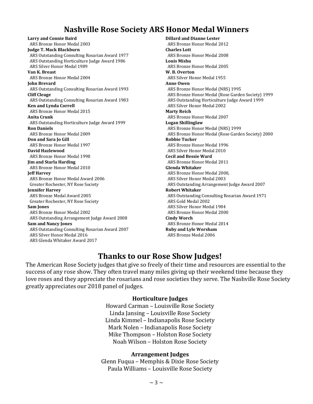# **Nashville Rose Society ARS Honor Medal Winners**

**Larry and Connie Baird** ARS Bronze Honor Medal 2003 **Judge T. Mack Blackburn** ARS Outstanding Consulting Rosarian Award 1977 ARS Outstanding Horticulture Judge Award 1986 ARS Silver Honor Medal 1989 **Van K. Breast** ARS Bronze Honor Medal 2004 **John Brevard** ARS Outstanding Consulting Rosarian Award 1993 **Cliff Cleage** ARS Outstanding Consulting Rosarian Award 1983 **Ken and Lynda Correll** ARS Bronze Honor Medal 2015 **Anita Crunk** ARS Outstanding Horticulture Judge Award 1999 **Ron Daniels** ARS Bronze Honor Medal 2009 **Don and Sara Jo Gill** ARS Bronze Honor Medal 1997 **David Hazlewood** ARS Bronze Honor Medal 1998 **Jim and Starla Harding** ARS Bronze Honor Medal 2010 **Jeff Harvey** ARS Bronze Honor Medal Award 2006 Greater Rochester, NY Rose Society **Jennifer Harvey** ARS Bronze Medal Award 2005 Greater Rochester, NY Rose Society **Sam Jones** ARS Bronze Honor Medal 2002 ARS Outstanding Arrangement Judge Award 2008 **Sam and Nancy Jones** ARS Outstanding Consulting Rosarian Award 2007 ARS Silver Honor Medal 2016 ARS Glenda Whitaker Award 2017

**Dillard and Dianne Lester** ARS Bronze Honor Medal 2012 **Charles Lott** ARS Bronze Honor Medal 2008 **Louis Mishu** ARS Bronze Honor Medal 2005 **W. B. Overton** ARS Silver Honor Medal 1955 **Anne Owen** ARS Bronze Honor Medal (NRS) 1995 ARS Bronze Honor Medal (Rose Garden Society) 1999 ARS Outstanding Horticulture Judge Award 1999 ARS Silver Honor Medal 2002 **Marty Reich** ARS Bronze Honor Medal 2007 **Logan Shillinglaw** ARS Bronze Honor Medal (NRS) 1999 ARS Bronze Honor Medal (Rose Garden Society) 2000 **Robbie Tucker** ARS Bronze Honor Medal 1996 ARS Silver Honor Medal 2010 **Cecil and Bessie Ward** ARS Bronze Honor Medal 2011 **Glenda Whitaker** ARS Bronze Honor Medal 2000, ARS Silver Honor Medal 2003 ARS Outstanding Arrangement Judge Award 2007 **Robert Whitaker** ARS Outstanding Consulting Rosarian Award 1971 ARS Gold Medal 2002 ARS Silver Honor Medal 1984 ARS Bronze Honor Medal 2000 **Cindy Worch** ARS Bronze Honor Medal 2014 **Ruby and Lyle Worsham** ARS Bronze Medal 2006

# **Thanks to our Rose Show Judges!**

The American Rose Society judges that give so freely of their time and resources are essential to the success of any rose show. They often travel many miles giving up their weekend time because they love roses and they appreciate the rosarians and rose societies they serve. The Nashville Rose Society greatly appreciates our 2018 panel of judges.

#### **Horticulture Judges**

Howard Carman – Louisville Rose Society Linda Jansing – Louisville Rose Society Linda Kimmel – Indianapolis Rose Society Mark Nolen – Indianapolis Rose Society Mike Thompson – Holston Rose Society Noah Wilson – Holston Rose Society

#### **Arrangement Judges**

Glenn Fuqua – Memphis & Dixie Rose Society Paula Williams – Louisville Rose Society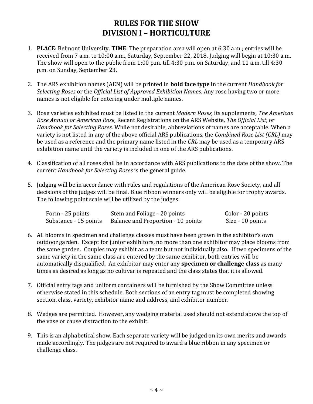# **RULES FOR THE SHOW DIVISION I – HORTICULTURE**

- 1. **PLACE**: Belmont University. **TIME**: The preparation area will open at 6:30 a.m.; entries will be received from 7 a.m. to 10:00 a.m., Saturday, September 22, 2018. Judging will begin at 10:30 a.m. The show will open to the public from 1:00 p.m. till 4:30 p.m. on Saturday, and 11 a.m. till 4:30 p.m. on Sunday, September 23.
- 2. The ARS exhibition names (AEN) will be printed in **bold face type** in the current *Handbook for Selecting Roses* or the *Official List of Approved Exhibition Names*. Any rose having two or more names is not eligible for entering under multiple names.
- 3. Rose varieties exhibited must be listed in the current *Modern Roses,* its supplements*, The American Rose Annual or American Rose,* Recent Registrations on the ARS Website*, The Official List,* or *Handbook for Selecting Roses.* While not desirable, abbreviations of names are acceptable. When a variety is not listed in any of the above official ARS publications, the *Combined Rose List (CRL)* may be used as a reference and the primary name listed in the *CRL* may be used as a temporary ARS exhibition name until the variety is included in one of the ARS publications.
- 4. Classification of all roses shall be in accordance with ARS publications to the date of the show. The current *Handbook for Selecting Roses* is the general guide.
- 5. Judging will be in accordance with rules and regulations of the American Rose Society, and all decisions of the judges will be final. Blue ribbon winners only will be eligible for trophy awards. The following point scale will be utilized by the judges:

| Form - 25 points      | Stem and Foliage - 20 points       | Color - 20 points |
|-----------------------|------------------------------------|-------------------|
| Substance - 15 points | Balance and Proportion - 10 points | Size - 10 points  |

- 6. All blooms in specimen and challenge classes must have been grown in the exhibitor's own outdoor garden. Except for junior exhibitors, no more than one exhibitor may place blooms from the same garden. Couples may exhibit as a team but not individually also. If two specimens of the same variety in the same class are entered by the same exhibitor, both entries will be automatically disqualified. An exhibitor may enter any **specimen or challenge class** as many times as desired as long as no cultivar is repeated and the class states that it is allowed.
- 7. Official entry tags and uniform containers will be furnished by the Show Committee unless otherwise stated in this schedule. Both sections of an entry tag must be completed showing section, class, variety, exhibitor name and address, and exhibitor number.
- 8. Wedges are permitted. However, any wedging material used should not extend above the top of the vase or cause distraction to the exhibit.
- 9. This is an alphabetical show. Each separate variety will be judged on its own merits and awards made accordingly. The judges are not required to award a blue ribbon in any specimen or challenge class.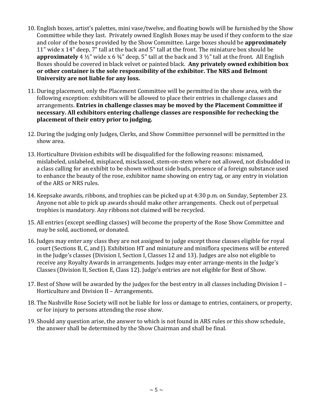- 10. English boxes, artist's palettes, mini vase/twelve, and floating bowls will be furnished by the Show Committee while they last. Privately owned English Boxes may be used if they conform to the size and color of the boxes provided by the Show Committee. Large boxes should be **approximately**  11" wide x 14" deep, 7" tall at the back and 5" tall at the front. The miniature box should be **approximately** 4  $\frac{1}{2}$ " wide x 6  $\frac{3}{4}$ " deep, 5" tall at the back and 3  $\frac{1}{2}$ " tall at the front. All English Boxes should be covered in black velvet or painted black. **Any privately owned exhibition box or other container is the sole responsibility of the exhibitor. The NRS and Belmont University are not liable for any loss.**
- 11. During placement, only the Placement Committee will be permitted in the show area, with the following exception: exhibitors will be allowed to place their entries in challenge classes and arrangements. **Entries in challenge classes may be moved by the Placement Committee if necessary. All exhibitors entering challenge classes are responsible for rechecking the placement of their entry prior to judging.**
- 12. During the judging only Judges, Clerks, and Show Committee personnel will be permitted in the show area.
- 13. Horticulture Division exhibits will be disqualified for the following reasons: misnamed, mislabeled, unlabeled, misplaced, misclassed, stem-on-stem where not allowed, not disbudded in a class calling for an exhibit to be shown without side buds, presence of a foreign substance used to enhance the beauty of the rose, exhibitor name showing on entry tag, or any entry in violation of the ARS or NRS rules.
- 14. Keepsake awards, ribbons, and trophies can be picked up at 4:30 p.m. on Sunday, September 23. Anyone not able to pick up awards should make other arrangements. Check out of perpetual trophies is mandatory. Any ribbons not claimed will be recycled.
- 15. All entries (except seedling classes) will become the property of the Rose Show Committee and may be sold, auctioned, or donated.
- 16. Judges may enter any class they are not assigned to judge except those classes eligible for royal court (Sections B, C, and J). Exhibition HT and miniature and miniflora specimens will be entered in the Judge's classes (Division I, Section I, Classes 12 and 13). Judges are also not eligible to receive any Royalty Awards in arrangements. Judges may enter arrange-ments in the Judge's Classes (Division II, Section E, Class 12). Judge's entries are not eligible for Best of Show.
- 17. Best of Show will be awarded by the judges for the best entry in all classes including Division I Horticulture and Division II – Arrangements.
- 18. The Nashville Rose Society will not be liable for loss or damage to entries, containers, or property, or for injury to persons attending the rose show.
- 19. Should any question arise, the answer to which is not found in ARS rules or this show schedule, the answer shall be determined by the Show Chairman and shall be final.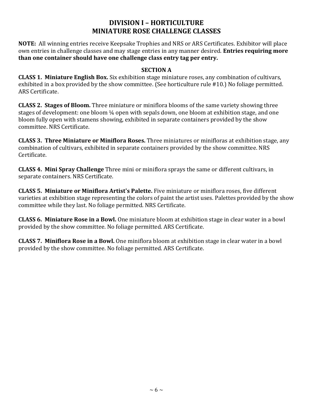### **DIVISION I – HORTICULTURE MINIATURE ROSE CHALLENGE CLASSES**

**NOTE:** All winning entries receive Keepsake Trophies and NRS or ARS Certificates. Exhibitor will place own entries in challenge classes and may stage entries in any manner desired. **Entries requiring more than one container should have one challenge class entry tag per entry.**

#### **SECTION A**

**CLASS 1. Miniature English Box.** Six exhibition stage miniature roses, any combination of cultivars, exhibited in a box provided by the show committee. (See horticulture rule #10.) No foliage permitted. ARS Certificate.

**CLASS 2. Stages of Bloom.** Three miniature or miniflora blooms of the same variety showing three stages of development: one bloom ¼ open with sepals down, one bloom at exhibition stage, and one bloom fully open with stamens showing, exhibited in separate containers provided by the show committee. NRS Certificate.

**CLASS 3. Three Miniature or Miniflora Roses.** Three miniatures or minifloras at exhibition stage, any combination of cultivars, exhibited in separate containers provided by the show committee. NRS Certificate.

**CLASS 4. Mini Spray Challenge** Three mini or miniflora sprays the same or different cultivars, in separate containers. NRS Certificate.

**CLASS 5. Miniature or Miniflora Artist's Palette.** Five miniature or miniflora roses, five different varieties at exhibition stage representing the colors of paint the artist uses. Palettes provided by the show committee while they last. No foliage permitted. NRS Certificate.

**CLASS 6. Miniature Rose in a Bowl.** One miniature bloom at exhibition stage in clear water in a bowl provided by the show committee. No foliage permitted. ARS Certificate.

**CLASS 7. Miniflora Rose in a Bowl.** One miniflora bloom at exhibition stage in clear water in a bowl provided by the show committee. No foliage permitted. ARS Certificate.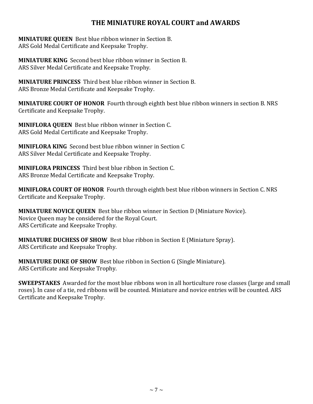### **THE MINIATURE ROYAL COURT and AWARDS**

**MINIATURE QUEEN** Best blue ribbon winner in Section B. ARS Gold Medal Certificate and Keepsake Trophy.

**MINIATURE KING** Second best blue ribbon winner in Section B. ARS Silver Medal Certificate and Keepsake Trophy.

**MINIATURE PRINCESS** Third best blue ribbon winner in Section B. ARS Bronze Medal Certificate and Keepsake Trophy.

**MINIATURE COURT OF HONOR** Fourth through eighth best blue ribbon winners in section B. NRS Certificate and Keepsake Trophy.

**MINIFLORA QUEEN** Best blue ribbon winner in Section C. ARS Gold Medal Certificate and Keepsake Trophy.

**MINIFLORA KING** Second best blue ribbon winner in Section C ARS Silver Medal Certificate and Keepsake Trophy.

**MINIFLORA PRINCESS** Third best blue ribbon in Section C. ARS Bronze Medal Certificate and Keepsake Trophy.

**MINIFLORA COURT OF HONOR** Fourth through eighth best blue ribbon winners in Section C. NRS Certificate and Keepsake Trophy.

**MINIATURE NOVICE QUEEN** Best blue ribbon winner in Section D (Miniature Novice). Novice Queen may be considered for the Royal Court. ARS Certificate and Keepsake Trophy.

**MINIATURE DUCHESS OF SHOW** Best blue ribbon in Section E (Miniature Spray). ARS Certificate and Keepsake Trophy.

**MINIATURE DUKE OF SHOW** Best blue ribbon in Section G (Single Miniature). ARS Certificate and Keepsake Trophy.

**SWEEPSTAKES** Awarded for the most blue ribbons won in all horticulture rose classes (large and small roses). In case of a tie, red ribbons will be counted. Miniature and novice entries will be counted. ARS Certificate and Keepsake Trophy.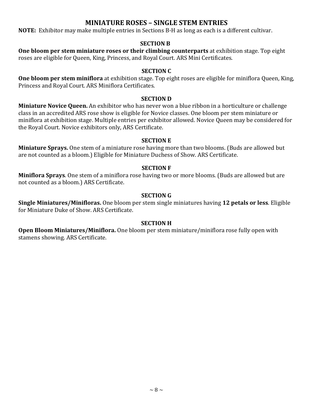### **MINIATURE ROSES – SINGLE STEM ENTRIES**

**NOTE:** Exhibitor may make multiple entries in Sections B-H as long as each is a different cultivar.

#### **SECTION B**

**One bloom per stem miniature roses or their climbing counterparts** at exhibition stage. Top eight roses are eligible for Queen, King, Princess, and Royal Court. ARS Mini Certificates.

#### **SECTION C**

**One bloom per stem miniflora** at exhibition stage. Top eight roses are eligible for miniflora Queen, King, Princess and Royal Court. ARS Miniflora Certificates.

#### **SECTION D**

**Miniature Novice Queen.** An exhibitor who has never won a blue ribbon in a horticulture or challenge class in an accredited ARS rose show is eligible for Novice classes. One bloom per stem miniature or miniflora at exhibition stage. Multiple entries per exhibitor allowed. Novice Queen may be considered for the Royal Court. Novice exhibitors only, ARS Certificate.

#### **SECTION E**

**Miniature Sprays.** One stem of a miniature rose having more than two blooms. (Buds are allowed but are not counted as a bloom.) Eligible for Miniature Duchess of Show. ARS Certificate.

#### **SECTION F**

**Miniflora Sprays**. One stem of a miniflora rose having two or more blooms. (Buds are allowed but are not counted as a bloom.) ARS Certificate.

#### **SECTION G**

**Single Miniatures/Minifloras.** One bloom per stem single miniatures having **12 petals or less**. Eligible for Miniature Duke of Show. ARS Certificate.

#### **SECTION H**

**Open Bloom Miniatures/Miniflora.** One bloom per stem miniature/miniflora rose fully open with stamens showing. ARS Certificate.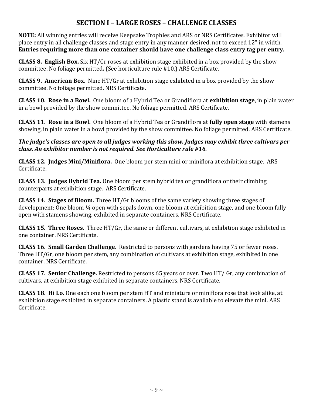# **SECTION I – LARGE ROSES – CHALLENGE CLASSES**

**NOTE:** All winning entries will receive Keepsake Trophies and ARS or NRS Certificates. Exhibitor will place entry in all challenge classes and stage entry in any manner desired, not to exceed 12" in width. **Entries requiring more than one container should have one challenge class entry tag per entry.**

**CLASS 8. English Box.** Six HT/Gr roses at exhibition stage exhibited in a box provided by the show committee. No foliage permitted**.** (See horticulture rule #10.) ARS Certificate.

**CLASS 9. American Box.** Nine HT/Gr at exhibition stage exhibited in a box provided by the show committee. No foliage permitted. NRS Certificate.

**CLASS 10. Rose in a Bowl.** One bloom of a Hybrid Tea or Grandiflora at **exhibition stage**, in plain water in a bowl provided by the show committee. No foliage permitted. ARS Certificate.

**CLASS 11. Rose in a Bowl.** One bloom of a Hybrid Tea or Grandiflora at **fully open stage** with stamens showing, in plain water in a bowl provided by the show committee. No foliage permitted. ARS Certificate.

*The judge's classes are open to all judges working this show. Judges may exhibit three cultivars per class. An exhibitor number is not required. See Horticulture rule #16.*

**CLASS 12. Judges Mini/Miniflora.** One bloom per stem mini or miniflora at exhibition stage. ARS Certificate.

**CLASS 13. Judges Hybrid Tea.** One bloom per stem hybrid tea or grandiflora or their climbing counterparts at exhibition stage. ARS Certificate.

**CLASS 14. Stages of Bloom.** Three HT/Gr blooms of the same variety showing three stages of development: One bloom ¼ open with sepals down, one bloom at exhibition stage, and one bloom fully open with stamens showing, exhibited in separate containers. NRS Certificate.

**CLASS 15**. **Three Roses.** Three HT/Gr, the same or different cultivars, at exhibition stage exhibited in one container. NRS Certificate.

**CLASS 16. Small Garden Challenge.** Restricted to persons with gardens having 75 or fewer roses. Three HT/Gr, one bloom per stem, any combination of cultivars at exhibition stage, exhibited in one container. NRS Certificate.

**CLASS 17. Senior Challenge.** Restricted to persons 65 years or over. Two HT/ Gr, any combination of cultivars, at exhibition stage exhibited in separate containers. NRS Certificate.

**CLASS 18. Hi Lo.** One each one bloom per stem HT and miniature or miniflora rose that look alike, at exhibition stage exhibited in separate containers. A plastic stand is available to elevate the mini. ARS Certificate.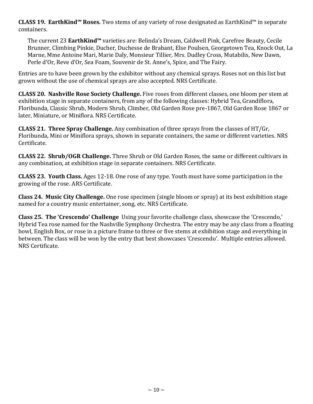**CLASS 19. EarthKind™ Roses.** Two stems of any variety of rose designated as EarthKind™ in separate containers.

The current 23 **EarthKind™** varieties are: Belinda's Dream, Caldwell Pink, Carefree Beauty, Cecile Brunner, Climbing Pinkie, Ducher, Duchesse de Brabant, Else Poulsen, Georgetown Tea, Knock Out, La Marne, Mme Antoine Mari, Marie Daly, Monsieur Tillier, Mrs. Dudley Cross, Mutabilis, New Dawn, Perle d'Or, Reve d'Or, Sea Foam, Souvenir de St. Anne's, Spice, and The Fairy.

Entries are to have been grown by the exhibitor without any chemical sprays. Roses not on this list but grown without the use of chemical sprays are also accepted. NRS Certificate.

**CLASS 20. Nashville Rose Society Challenge.** Five roses from different classes, one bloom per stem at exhibition stage in separate containers, from any of the following classes: Hybrid Tea, Grandiflora, Floribunda, Classic Shrub, Modern Shrub, Climber, Old Garden Rose pre-1867, Old Garden Rose 1867 or later, Miniature, or Miniflora. NRS Certificate.

**CLASS 21. Three Spray Challenge.** Any combination of three sprays from the classes of HT/Gr, Floribunda, Mini or Miniflora sprays, shown in separate containers, the same or different varieties. NRS Certificate.

**CLASS 22. Shrub/OGR Challenge.** Three Shrub or Old Garden Roses, the same or different cultivars in any combination, at exhibition stage in separate containers. NRS Certificate.

**CLASS 23. Youth Class.** Ages 12-18. One rose of any type. Youth must have some participation in the growing of the rose. ARS Certificate.

**Class 24. Music City Challenge.** One rose specimen (single bloom or spray) at its best exhibition stage named for a country music entertainer, song, etc. NRS Certificate.

**Class 25. The 'Crescendo' Challenge** Using your favorite challenge class, showcase the 'Crescendo,' Hybrid Tea rose named for the Nashville Symphony Orchestra. The entry may be any class from a floating bowl, English Box, or rose in a picture frame to three or five stems at exhibition stage and everything in between. The class will be won by the entry that best showcases 'Crescendo'. Multiple entries allowed. NRS Certificate.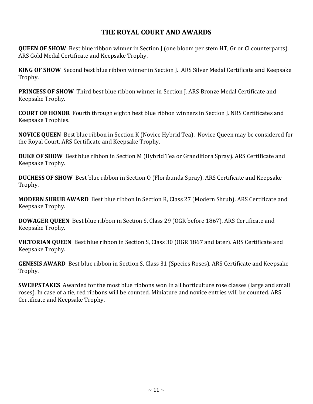### **THE ROYAL COURT AND AWARDS**

**QUEEN OF SHOW** Best blue ribbon winner in Section J (one bloom per stem HT, Gr or Cl counterparts). ARS Gold Medal Certificate and Keepsake Trophy.

**KING OF SHOW** Second best blue ribbon winner in Section J. ARS Silver Medal Certificate and Keepsake Trophy.

**PRINCESS OF SHOW** Third best blue ribbon winner in Section J. ARS Bronze Medal Certificate and Keepsake Trophy.

**COURT OF HONOR** Fourth through eighth best blue ribbon winners in Section J. NRS Certificates and Keepsake Trophies.

**NOVICE QUEEN** Best blue ribbon in Section K (Novice Hybrid Tea). Novice Queen may be considered for the Royal Court. ARS Certificate and Keepsake Trophy.

**DUKE OF SHOW** Best blue ribbon in Section M (Hybrid Tea or Grandiflora Spray). ARS Certificate and Keepsake Trophy.

**DUCHESS OF SHOW** Best blue ribbon in Section O (Floribunda Spray). ARS Certificate and Keepsake Trophy.

**MODERN SHRUB AWARD** Best blue ribbon in Section R, Class 27 (Modern Shrub). ARS Certificate and Keepsake Trophy.

**DOWAGER QUEEN** Best blue ribbon in Section S, Class 29 (OGR before 1867). ARS Certificate and Keepsake Trophy.

**VICTORIAN QUEEN** Best blue ribbon in Section S, Class 30 (OGR 1867 and later). ARS Certificate and Keepsake Trophy.

**GENESIS AWARD** Best blue ribbon in Section S, Class 31 (Species Roses). ARS Certificate and Keepsake Trophy.

**SWEEPSTAKES** Awarded for the most blue ribbons won in all horticulture rose classes (large and small roses). In case of a tie, red ribbons will be counted. Miniature and novice entries will be counted. ARS Certificate and Keepsake Trophy.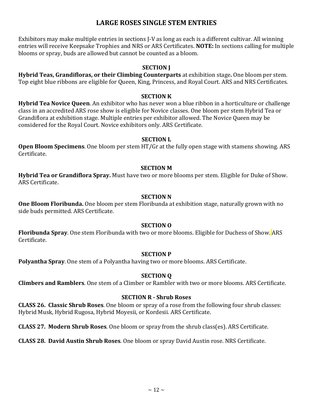### **LARGE ROSES SINGLE STEM ENTRIES**

Exhibitors may make multiple entries in sections J-V as long as each is a different cultivar. All winning entries will receive Keepsake Trophies and NRS or ARS Certificates. **NOTE:** In sections calling for multiple blooms or spray, buds are allowed but cannot be counted as a bloom.

#### **SECTION J**

**Hybrid Teas, Grandifloras, or their Climbing Counterparts** at exhibition stage**.** One bloom per stem. Top eight blue ribbons are eligible for Queen, King, Princess, and Royal Court. ARS and NRS Certificates.

#### **SECTION K**

**Hybrid Tea Novice Queen**. An exhibitor who has never won a blue ribbon in a horticulture or challenge class in an accredited ARS rose show is eligible for Novice classes. One bloom per stem Hybrid Tea or Grandiflora at exhibition stage. Multiple entries per exhibitor allowed. The Novice Queen may be considered for the Royal Court. Novice exhibitors only. ARS Certificate.

#### **SECTION L**

**Open Bloom Specimens**. One bloom per stem HT/Gr at the fully open stage with stamens showing. ARS Certificate.

#### **SECTION M**

**Hybrid Tea or Grandiflora Spray.** Must have two or more blooms per stem. Eligible for Duke of Show. ARS Certificate.

#### **SECTION N**

**One Bloom Floribunda.** One bloom per stem Floribunda at exhibition stage, naturally grown with no side buds permitted. ARS Certificate.

#### **SECTION O**

**Floribunda Spray**. One stem Floribunda with two or more blooms. Eligible for Duchess of Show. ARS Certificate.

#### **SECTION P**

**Polyantha Spray**. One stem of a Polyantha having two or more blooms. ARS Certificate.

#### **SECTION Q**

**Climbers and Ramblers**. One stem of a Climber or Rambler with two or more blooms. ARS Certificate.

#### **SECTION R - Shrub Roses**

**CLASS 26. Classic Shrub Roses**. One bloom or spray of a rose from the following four shrub classes: Hybrid Musk, Hybrid Rugosa, Hybrid Moyesii, or Kordesii. ARS Certificate.

**CLASS 27. Modern Shrub Roses**. One bloom or spray from the shrub class(es). ARS Certificate.

**CLASS 28. David Austin Shrub Roses**. One bloom or spray David Austin rose. NRS Certificate.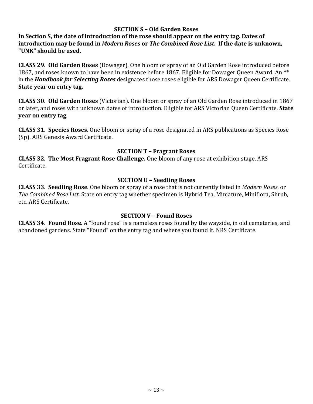#### **SECTION S – Old Garden Roses**

**In Section S, the date of introduction of the rose should appear on the entry tag. Dates of introduction may be found in** *Modern Roses* **or** *The Combined Rose List***. If the date is unknown, "UNK" should be used.**

**CLASS 29. Old Garden Roses** (Dowager). One bloom or spray of an Old Garden Rose introduced before 1867, and roses known to have been in existence before 1867. Eligible for Dowager Queen Award. An \*\* in the *Handbook for Selecting Roses* designates those roses eligible for ARS Dowager Queen Certificate. **State year on entry tag.**

**CLASS 30. Old Garden Roses** (Victorian). One bloom or spray of an Old Garden Rose introduced in 1867 or later, and roses with unknown dates of introduction. Eligible for ARS Victorian Queen Certificate. **State year on entry tag**.

**CLASS 31. Species Roses.** One bloom or spray of a rose designated in ARS publications as Species Rose (Sp). ARS Genesis Award Certificate.

#### **SECTION T – Fragrant Roses**

**CLASS 32**. **The Most Fragrant Rose Challenge.** One bloom of any rose at exhibition stage. ARS Certificate.

#### **SECTION U – Seedling Roses**

**CLASS 33. Seedling Rose**. One bloom or spray of a rose that is not currently listed in *Modern Roses*, or *The Combined Rose List*. State on entry tag whether specimen is Hybrid Tea, Miniature, Miniflora, Shrub, etc. ARS Certificate.

#### **SECTION V – Found Roses**

**CLASS 34. Found Rose**. A "found rose" is a nameless roses found by the wayside, in old cemeteries, and abandoned gardens. State "Found" on the entry tag and where you found it. NRS Certificate.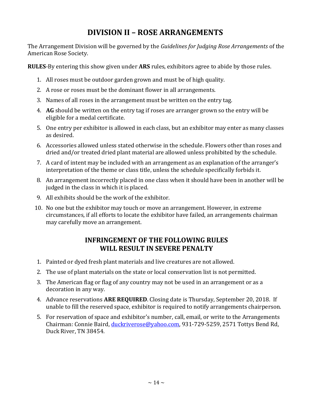# **DIVISION II – ROSE ARRANGEMENTS**

The Arrangement Division will be governed by the *Guidelines for Judging Rose Arrangements* of the American Rose Society.

**RULES**-By entering this show given under **ARS** rules, exhibitors agree to abide by those rules.

- 1. All roses must be outdoor garden grown and must be of high quality.
- 2. A rose or roses must be the dominant flower in all arrangements.
- 3. Names of all roses in the arrangement must be written on the entry tag.
- 4. **AG** should be written on the entry tag if roses are arranger grown so the entry will be eligible for a medal certificate.
- 5. One entry per exhibitor is allowed in each class, but an exhibitor may enter as many classes as desired.
- 6. Accessories allowed unless stated otherwise in the schedule. Flowers other than roses and dried and/or treated dried plant material are allowed unless prohibited by the schedule.
- 7. A card of intent may be included with an arrangement as an explanation of the arranger's interpretation of the theme or class title, unless the schedule specifically forbids it.
- 8. An arrangement incorrectly placed in one class when it should have been in another will be judged in the class in which it is placed.
- 9. All exhibits should be the work of the exhibitor.
- 10. No one but the exhibitor may touch or move an arrangement. However, in extreme circumstances, if all efforts to locate the exhibitor have failed, an arrangements chairman may carefully move an arrangement.

### **INFRINGEMENT OF THE FOLLOWING RULES WILL RESULT IN SEVERE PENALTY**

- 1. Painted or dyed fresh plant materials and live creatures are not allowed.
- 2. The use of plant materials on the state or local conservation list is not permitted.
- 3. The American flag or flag of any country may not be used in an arrangement or as a decoration in any way.
- 4. Advance reservations **ARE REQUIRED**. Closing date is Thursday, September 20, 2018. If unable to fill the reserved space, exhibitor is required to notify arrangements chairperson.
- 5. For reservation of space and exhibitor's number, call, email, or write to the Arrangements Chairman: Connie Baird, [duckriverose@yahoo.com,](mailto:duckriverose@yahoo.com) 931-729-5259, 2571 Tottys Bend Rd, Duck River, TN 38454.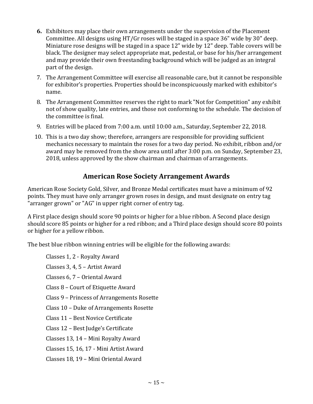- **6.** Exhibitors may place their own arrangements under the supervision of the Placement Committee. All designs using HT/Gr roses will be staged in a space 36" wide by 30" deep. Miniature rose designs will be staged in a space 12" wide by 12" deep. Table covers will be black. The designer may select appropriate mat, pedestal, or base for his/her arrangement and may provide their own freestanding background which will be judged as an integral part of the design.
- 7. The Arrangement Committee will exercise all reasonable care, but it cannot be responsible for exhibitor's properties. Properties should be inconspicuously marked with exhibitor's name.
- 8. The Arrangement Committee reserves the right to mark "Not for Competition" any exhibit not of show quality, late entries, and those not conforming to the schedule. The decision of the committee is final.
- 9. Entries will be placed from 7:00 a.m. until 10:00 a.m., Saturday, September 22, 2018.
- 10. This is a two day show; therefore, arrangers are responsible for providing sufficient mechanics necessary to maintain the roses for a two day period. No exhibit, ribbon and/or award may be removed from the show area until after 3:00 p.m. on Sunday, September 23, 2018, unless approved by the show chairman and chairman of arrangements.

# **American Rose Society Arrangement Awards**

American Rose Society Gold, Silver, and Bronze Medal certificates must have a minimum of 92 points. They must have only arranger grown roses in design, and must designate on entry tag "arranger grown" or "AG" in upper right corner of entry tag.

A First place design should score 90 points or higher for a blue ribbon. A Second place design should score 85 points or higher for a red ribbon; and a Third place design should score 80 points or higher for a yellow ribbon.

The best blue ribbon winning entries will be eligible for the following awards:

Classes 1, 2 - Royalty Award Classes 3, 4, 5 – Artist Award Classes 6, 7 – Oriental Award Class 8 – Court of Etiquette Award Class 9 – Princess of Arrangements Rosette Class 10 – Duke of Arrangements Rosette Class 11 – Best Novice Certificate Class 12 – Best Judge's Certificate Classes 13, 14 – Mini Royalty Award Classes 15, 16, 17 - Mini Artist Award Classes 18, 19 – Mini Oriental Award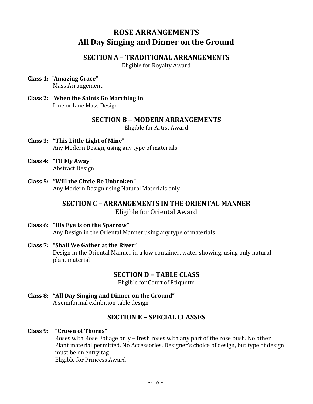# **ROSE ARRANGEMENTS All Day Singing and Dinner on the Ground**

#### **SECTION A – TRADITIONAL ARRANGEMENTS**

Eligible for Royalty Award

- **Class 1: "Amazing Grace"** Mass Arrangement
- **Class 2: "When the Saints Go Marching In"** Line or Line Mass Design

#### **SECTION B** – **MODERN ARRANGEMENTS**

Eligible for Artist Award

- **Class 3: "This Little Light of Mine"** Any Modern Design, using any type of materials
- **Class 4: "I'll Fly Away"** Abstract Design
- **Class 5: "Will the Circle Be Unbroken"** Any Modern Design using Natural Materials only

#### **SECTION C – ARRANGEMENTS IN THE ORIENTAL MANNER** Eligible for Oriental Award

- **Class 6: "His Eye is on the Sparrow"**  Any Design in the Oriental Manner using any type of materials
- **Class 7: "Shall We Gather at the River"** Design in the Oriental Manner in a low container, water showing, using only natural plant material

#### **SECTION D – TABLE CLASS**

Eligible for Court of Etiquette

**Class 8: "All Day Singing and Dinner on the Ground"** A semiformal exhibition table design

#### **SECTION E – SPECIAL CLASSES**

#### **Class 9: "Crown of Thorns"**

Roses with Rose Foliage only – fresh roses with any part of the rose bush. No other Plant material permitted. No Accessories. Designer's choice of design, but type of design must be on entry tag. Eligible for Princess Award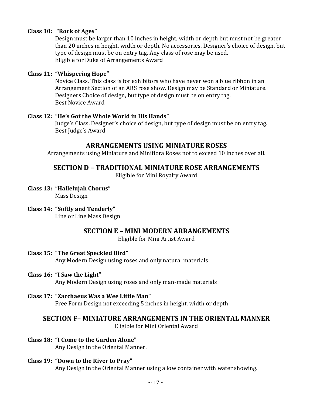#### **Class 10: "Rock of Ages"**

Design must be larger than 10 inches in height, width or depth but must not be greater than 20 inches in height, width or depth. No accessories. Designer's choice of design, but type of design must be on entry tag. Any class of rose may be used. Eligible for Duke of Arrangements Award

#### **Class 11: "Whispering Hope"**

Novice Class. This class is for exhibitors who have never won a blue ribbon in an Arrangement Section of an ARS rose show. Design may be Standard or Miniature. Designers Choice of design, but type of design must be on entry tag. Best Novice Award

#### **Class 12: "He's Got the Whole World in His Hands"**

Judge's Class. Designer's choice of design, but type of design must be on entry tag. Best Judge's Award

#### **ARRANGEMENTS USING MINIATURE ROSES**

Arrangements using Miniature and Miniflora Roses not to exceed 10 inches over all.

#### **SECTION D – TRADITIONAL MINIATURE ROSE ARRANGEMENTS**

Eligible for Mini Royalty Award

- **Class 13: "Hallelujah Chorus"** Mass Design
- **Class 14: "Softly and Tenderly"** Line or Line Mass Design

#### **SECTION E – MINI MODERN ARRANGEMENTS**

Eligible for Mini Artist Award

**Class 15: "The Great Speckled Bird"**

Any Modern Design using roses and only natural materials

- **Class 16: "I Saw the Light"** Any Modern Design using roses and only man-made materials
- **Class 17: "Zacchaeus Was a Wee Little Man"**

Free Form Design not exceeding 5 inches in height, width or depth

### **SECTION F– MINIATURE ARRANGEMENTS IN THE ORIENTAL MANNER**

Eligible for Mini Oriental Award

- **Class 18: "I Come to the Garden Alone"** Any Design in the Oriental Manner.
- **Class 19: "Down to the River to Pray"** Any Design in the Oriental Manner using a low container with water showing.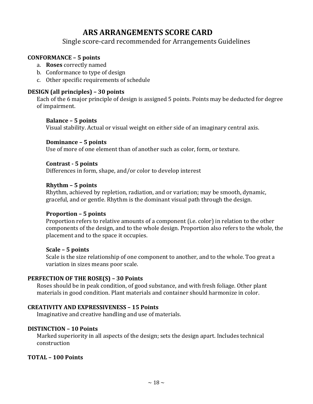# **ARS ARRANGEMENTS SCORE CARD**

#### Single score-card recommended for Arrangements Guidelines

#### **CONFORMANCE – 5 points**

- a. **Roses** correctly named
- b. Conformance to type of design
- c. Other specific requirements of schedule

#### **DESIGN (all principles) – 30 points**

Each of the 6 major principle of design is assigned 5 points. Points may be deducted for degree of impairment.

#### **Balance – 5 points**

Visual stability. Actual or visual weight on either side of an imaginary central axis.

#### **Dominance – 5 points**

Use of more of one element than of another such as color, form, or texture.

#### **Contrast - 5 points**

Differences in form, shape, and/or color to develop interest

#### **Rhythm – 5 points**

Rhythm, achieved by repletion, radiation, and or variation; may be smooth, dynamic, graceful, and or gentle. Rhythm is the dominant visual path through the design.

#### **Proportion – 5 points**

Proportion refers to relative amounts of a component (i.e. color) in relation to the other components of the design, and to the whole design. Proportion also refers to the whole, the placement and to the space it occupies.

#### **Scale – 5 points**

Scale is the size relationship of one component to another, and to the whole. Too great a variation in sizes means poor scale.

#### **PERFECTION OF THE ROSE(S) – 30 Points**

Roses should be in peak condition, of good substance, and with fresh foliage. Other plant materials in good condition. Plant materials and container should harmonize in color.

#### **CREATIVITY AND EXPRESSIVENESS – 15 Points**

Imaginative and creative handling and use of materials.

#### **DISTINCTION – 10 Points**

Marked superiority in all aspects of the design; sets the design apart. Includes technical construction

#### **TOTAL – 100 Points**